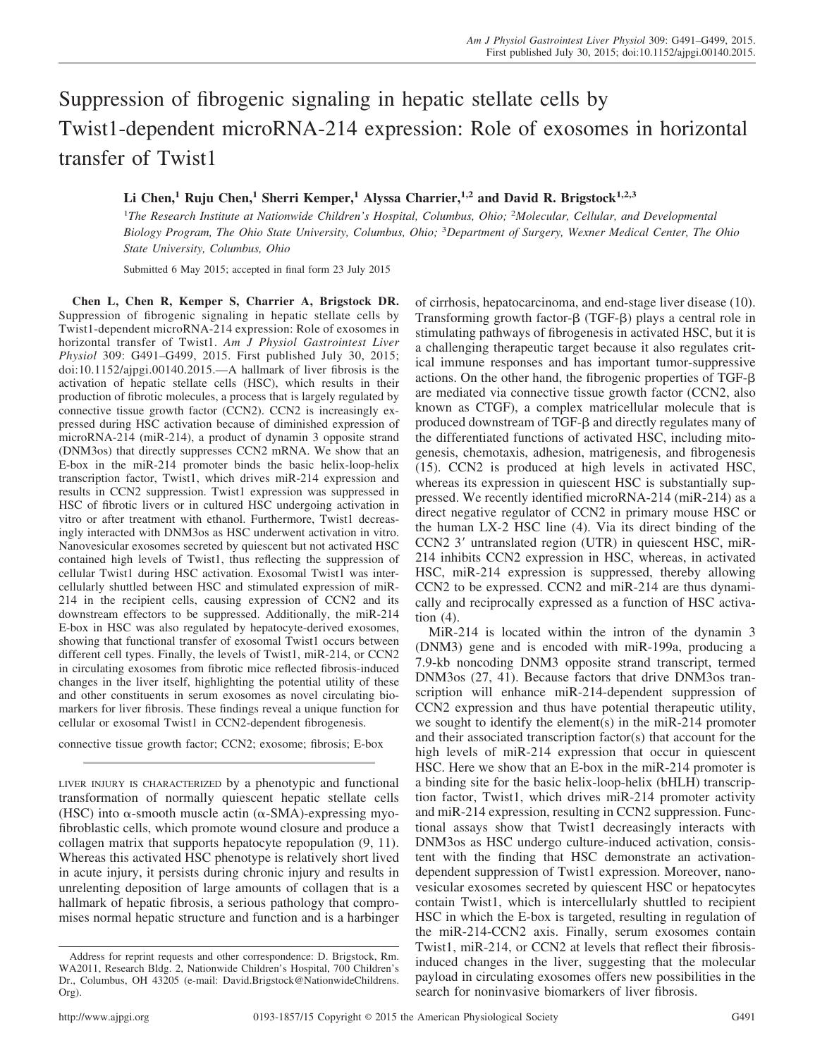## Suppression of fibrogenic signaling in hepatic stellate cells by Twist1-dependent microRNA-214 expression: Role of exosomes in horizontal transfer of Twist1

## **Li Chen,<sup>1</sup> Ruju Chen,<sup>1</sup> Sherri Kemper,<sup>1</sup> Alyssa Charrier,1,2 and David R. Brigstock1,2,3**

1 *The Research Institute at Nationwide Children's Hospital, Columbus, Ohio;* <sup>2</sup> *Molecular, Cellular, and Developmental Biology Program, The Ohio State University, Columbus, Ohio;* <sup>3</sup> *Department of Surgery, Wexner Medical Center, The Ohio State University, Columbus, Ohio*

Submitted 6 May 2015; accepted in final form 23 July 2015

**Chen L, Chen R, Kemper S, Charrier A, Brigstock DR.** Suppression of fibrogenic signaling in hepatic stellate cells by Twist1-dependent microRNA-214 expression: Role of exosomes in horizontal transfer of Twist1. *Am J Physiol Gastrointest Liver Physiol* 309: G491–G499, 2015. First published July 30, 2015; doi:10.1152/ajpgi.00140.2015.—A hallmark of liver fibrosis is the activation of hepatic stellate cells (HSC), which results in their production of fibrotic molecules, a process that is largely regulated by connective tissue growth factor (CCN2). CCN2 is increasingly expressed during HSC activation because of diminished expression of microRNA-214 (miR-214), a product of dynamin 3 opposite strand (DNM3os) that directly suppresses CCN2 mRNA. We show that an E-box in the miR-214 promoter binds the basic helix-loop-helix transcription factor, Twist1, which drives miR-214 expression and results in CCN2 suppression. Twist1 expression was suppressed in HSC of fibrotic livers or in cultured HSC undergoing activation in vitro or after treatment with ethanol. Furthermore, Twist1 decreasingly interacted with DNM3os as HSC underwent activation in vitro. Nanovesicular exosomes secreted by quiescent but not activated HSC contained high levels of Twist1, thus reflecting the suppression of cellular Twist1 during HSC activation. Exosomal Twist1 was intercellularly shuttled between HSC and stimulated expression of miR-214 in the recipient cells, causing expression of CCN2 and its downstream effectors to be suppressed. Additionally, the miR-214 E-box in HSC was also regulated by hepatocyte-derived exosomes, showing that functional transfer of exosomal Twist1 occurs between different cell types. Finally, the levels of Twist1, miR-214, or CCN2 in circulating exosomes from fibrotic mice reflected fibrosis-induced changes in the liver itself, highlighting the potential utility of these and other constituents in serum exosomes as novel circulating biomarkers for liver fibrosis. These findings reveal a unique function for cellular or exosomal Twist1 in CCN2-dependent fibrogenesis.

connective tissue growth factor; CCN2; exosome; fibrosis; E-box

LIVER INJURY IS CHARACTERIZED by a phenotypic and functional transformation of normally quiescent hepatic stellate cells (HSC) into  $\alpha$ -smooth muscle actin ( $\alpha$ -SMA)-expressing myofibroblastic cells, which promote wound closure and produce a collagen matrix that supports hepatocyte repopulation (9, 11). Whereas this activated HSC phenotype is relatively short lived in acute injury, it persists during chronic injury and results in unrelenting deposition of large amounts of collagen that is a hallmark of hepatic fibrosis, a serious pathology that compromises normal hepatic structure and function and is a harbinger

of cirrhosis, hepatocarcinoma, and end-stage liver disease (10). Transforming growth factor- $\beta$  (TGF- $\beta$ ) plays a central role in stimulating pathways of fibrogenesis in activated HSC, but it is a challenging therapeutic target because it also regulates critical immune responses and has important tumor-suppressive actions. On the other hand, the fibrogenic properties of TGF- $\beta$ are mediated via connective tissue growth factor (CCN2, also known as CTGF), a complex matricellular molecule that is produced downstream of TGF- $\beta$  and directly regulates many of the differentiated functions of activated HSC, including mitogenesis, chemotaxis, adhesion, matrigenesis, and fibrogenesis (15). CCN2 is produced at high levels in activated HSC, whereas its expression in quiescent HSC is substantially suppressed. We recently identified microRNA-214 (miR-214) as a direct negative regulator of CCN2 in primary mouse HSC or the human LX-2 HSC line (4). Via its direct binding of the CCN2 3' untranslated region (UTR) in quiescent HSC, miR-214 inhibits CCN2 expression in HSC, whereas, in activated HSC, miR-214 expression is suppressed, thereby allowing CCN2 to be expressed. CCN2 and miR-214 are thus dynamically and reciprocally expressed as a function of HSC activation (4).

MiR-214 is located within the intron of the dynamin 3 (DNM3) gene and is encoded with miR-199a, producing a 7.9-kb noncoding DNM3 opposite strand transcript, termed DNM3os (27, 41). Because factors that drive DNM3os transcription will enhance miR-214-dependent suppression of CCN2 expression and thus have potential therapeutic utility, we sought to identify the element(s) in the miR-214 promoter and their associated transcription factor(s) that account for the high levels of miR-214 expression that occur in quiescent HSC. Here we show that an E-box in the miR-214 promoter is a binding site for the basic helix-loop-helix (bHLH) transcription factor, Twist1, which drives miR-214 promoter activity and miR-214 expression, resulting in CCN2 suppression. Functional assays show that Twist1 decreasingly interacts with DNM3os as HSC undergo culture-induced activation, consistent with the finding that HSC demonstrate an activationdependent suppression of Twist1 expression. Moreover, nanovesicular exosomes secreted by quiescent HSC or hepatocytes contain Twist1, which is intercellularly shuttled to recipient HSC in which the E-box is targeted, resulting in regulation of the miR-214-CCN2 axis. Finally, serum exosomes contain Twist1, miR-214, or CCN2 at levels that reflect their fibrosisinduced changes in the liver, suggesting that the molecular payload in circulating exosomes offers new possibilities in the search for noninvasive biomarkers of liver fibrosis.

Address for reprint requests and other correspondence: D. Brigstock, Rm. WA2011, Research Bldg. 2, Nationwide Children's Hospital, 700 Children's Dr., Columbus, OH 43205 (e-mail: [David.Brigstock@NationwideChildrens.](mailto:David.Brigstock@NationwideChildrens.Org) [Org\)](mailto:David.Brigstock@NationwideChildrens.Org).